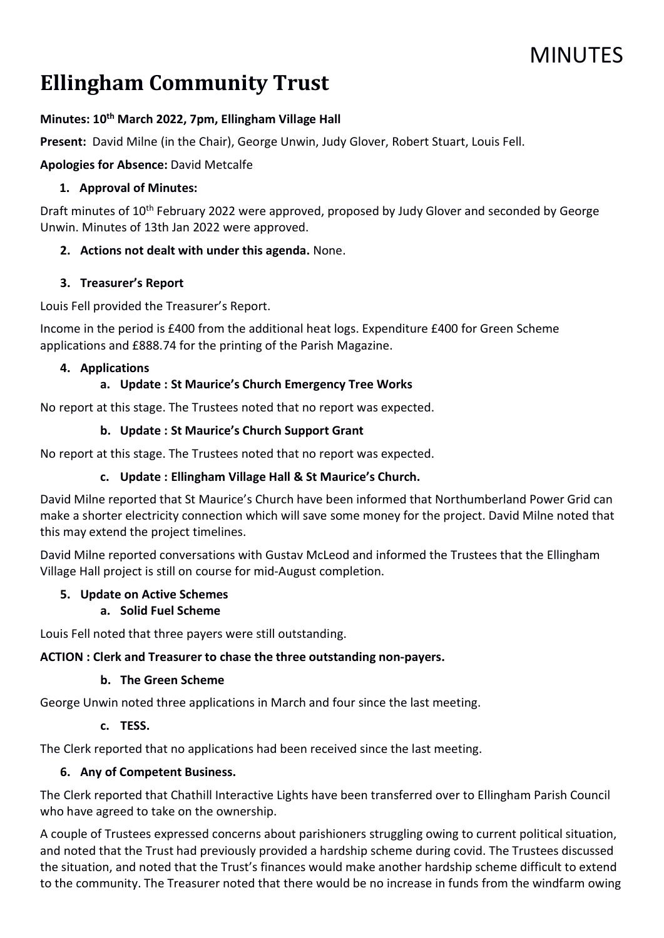# **MINUTES**

# Ellingham Community Trust

#### Minutes: 10<sup>th</sup> March 2022, 7pm, Ellingham Village Hall

Present: David Milne (in the Chair), George Unwin, Judy Glover, Robert Stuart, Louis Fell.

Apologies for Absence: David Metcalfe

#### 1. Approval of Minutes:

Draft minutes of 10<sup>th</sup> February 2022 were approved, proposed by Judy Glover and seconded by George Unwin. Minutes of 13th Jan 2022 were approved.

### 2. Actions not dealt with under this agenda. None.

#### 3. Treasurer's Report

Louis Fell provided the Treasurer's Report.

Income in the period is £400 from the additional heat logs. Expenditure £400 for Green Scheme applications and £888.74 for the printing of the Parish Magazine.

#### 4. Applications

### a. Update : St Maurice's Church Emergency Tree Works

No report at this stage. The Trustees noted that no report was expected.

#### b. Update : St Maurice's Church Support Grant

No report at this stage. The Trustees noted that no report was expected.

#### c. Update : Ellingham Village Hall & St Maurice's Church.

David Milne reported that St Maurice's Church have been informed that Northumberland Power Grid can make a shorter electricity connection which will save some money for the project. David Milne noted that this may extend the project timelines.

David Milne reported conversations with Gustav McLeod and informed the Trustees that the Ellingham Village Hall project is still on course for mid-August completion.

#### 5. Update on Active Schemes

#### a. Solid Fuel Scheme

Louis Fell noted that three payers were still outstanding.

#### ACTION : Clerk and Treasurer to chase the three outstanding non-payers.

#### b. The Green Scheme

George Unwin noted three applications in March and four since the last meeting.

#### c. TESS.

The Clerk reported that no applications had been received since the last meeting.

#### 6. Any of Competent Business.

The Clerk reported that Chathill Interactive Lights have been transferred over to Ellingham Parish Council who have agreed to take on the ownership.

A couple of Trustees expressed concerns about parishioners struggling owing to current political situation, and noted that the Trust had previously provided a hardship scheme during covid. The Trustees discussed the situation, and noted that the Trust's finances would make another hardship scheme difficult to extend to the community. The Treasurer noted that there would be no increase in funds from the windfarm owing